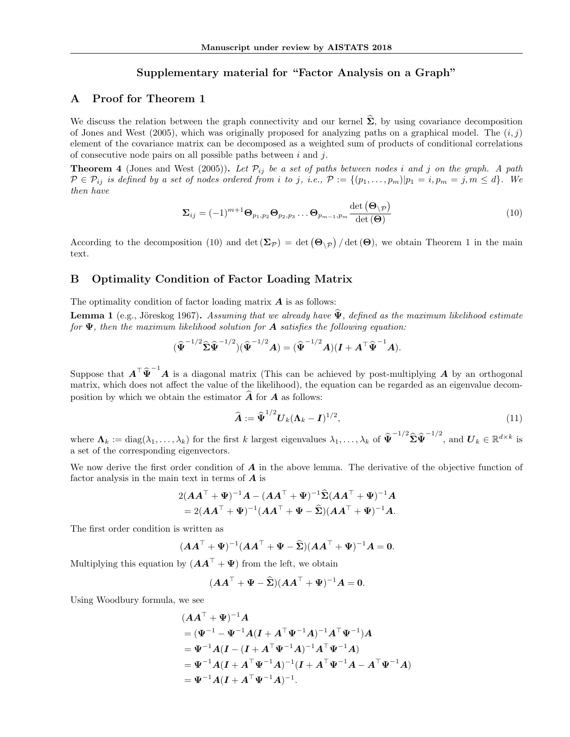# Supplementary material for "Factor Analysis on a Graph"

### A Proof for Theorem 1

We discuss the relation between the graph connectivity and our kernel  $\hat{\Sigma}$ , by using covariance decomposition of Jones and West (2005), which was originally proposed for analyzing paths on a graphical model. The  $(i, j)$ element of the covariance matrix can be decomposed as a weighted sum of products of conditional correlations of consecutive node pairs on all possible paths between  $i$  and  $j$ .

**Theorem 4** (Jones and West (2005)). Let  $\mathcal{P}_{ij}$  be a set of paths between nodes i and j on the graph. A path  $P \in \mathcal{P}_{ij}$  is defined by a set of nodes ordered from i to j, i.e.,  $\mathcal{P} := \{(p_1, \ldots, p_m) | p_1 = i, p_m = j, m \leq d\}$ . We then have

$$
\Sigma_{ij} = (-1)^{m+1} \Theta_{p_1, p_2} \Theta_{p_2, p_3} \dots \Theta_{p_{m-1}, p_m} \frac{\det (\Theta_{\setminus p})}{\det (\Theta)}
$$
(10)

According to the decomposition (10) and  $\det(\mathbf{\Sigma}_{\mathcal{P}}) = \det(\mathbf{\Theta}_{\setminus\mathcal{P}})/\det(\mathbf{\Theta})$ , we obtain Theorem 1 in the main text.

#### B Optimality Condition of Factor Loading Matrix

The optimality condition of factor loading matrix  $\boldsymbol{A}$  is as follows:

**Lemma 1** (e.g., Jöreskog 1967). Assuming that we already have  $\Psi$ , defined as the maximum likelihood estimate for  $\Psi$ , then the maximum likelihood solution for **A** satisfies the following equation:

$$
(\widehat{\boldsymbol{\Psi}}^{-1/2}\widehat{\boldsymbol{\Sigma}}\widehat{\boldsymbol{\Psi}}^{-1/2})(\widehat{\boldsymbol{\Psi}}^{-1/2}\boldsymbol{A})=(\widehat{\boldsymbol{\Psi}}^{-1/2}\boldsymbol{A})(\boldsymbol{I}+\boldsymbol{A}^{\top}\widehat{\boldsymbol{\Psi}}^{-1}\boldsymbol{A}).
$$

Suppose that  $A^{\top} \hat{\Psi}^{-1} A$  is a diagonal matrix (This can be achieved by post-multiplying A by an orthogonal matrix, which does not affect the value of the likelihood), the equation can be regarded as an eigenvalue decomposition by which we obtain the estimator  $\vec{A}$  for  $\vec{A}$  as follows:

$$
\widehat{\mathbf{A}} := \widehat{\mathbf{\Psi}}^{1/2} \mathbf{U}_k (\mathbf{\Lambda}_k - \mathbf{I})^{1/2},\tag{11}
$$

where  $\Lambda_k := \text{diag}(\lambda_1, \ldots, \lambda_k)$  for the first k largest eigenvalues  $\lambda_1, \ldots, \lambda_k$  of  $\hat{\Psi}^{-1/2} \hat{\Sigma} \hat{\Psi}^{-1/2}$ , and  $\mathbf{U}_k \in \mathbb{R}^{d \times k}$  is a set of the corresponding eigenvectors.

We now derive the first order condition of  $\boldsymbol{A}$  in the above lemma. The derivative of the objective function of factor analysis in the main text in terms of  $\boldsymbol{A}$  is

$$
2(AAT + \Psi)-1A - (AAT + \Psi)-1\widehat{\Sigma}(AAT + \Psi)-1A
$$
  
= 2(AA<sup>T</sup> + \Psi)<sup>-1</sup>(AA<sup>T</sup> + \Psi - \widehat{\Sigma})(AA<sup>T</sup> + \Psi)<sup>-1</sup>A.

The first order condition is written as

$$
(\boldsymbol{A}\boldsymbol{A}^{\top}+\boldsymbol{\Psi})^{-1}(\boldsymbol{A}\boldsymbol{A}^{\top}+\boldsymbol{\Psi}-\boldsymbol{\hat{\Sigma}})(\boldsymbol{A}\boldsymbol{A}^{\top}+\boldsymbol{\Psi})^{-1}\boldsymbol{A}=\boldsymbol{0}.
$$

Multiplying this equation by  $(AA^{\top} + \Psi)$  from the left, we obtain

$$
(\boldsymbol{A}\boldsymbol{A}^{\top}+\boldsymbol{\Psi}-\boldsymbol{\widehat{\Sigma}})(\boldsymbol{A}\boldsymbol{A}^{\top}+\boldsymbol{\Psi})^{-1}\boldsymbol{A}=\boldsymbol{0}.
$$

Using Woodbury formula, we see

$$
(AA^{\top} + \Psi)^{-1}A
$$
  
=  $(\Psi^{-1} - \Psi^{-1}A(I + A^{\top}\Psi^{-1}A)^{-1}A^{\top}\Psi^{-1})A$   
=  $\Psi^{-1}A(I - (I + A^{\top}\Psi^{-1}A)^{-1}A^{\top}\Psi^{-1}A)$   
=  $\Psi^{-1}A(I + A^{\top}\Psi^{-1}A)^{-1}(I + A^{\top}\Psi^{-1}A - A^{\top}\Psi^{-1}A)$   
=  $\Psi^{-1}A(I + A^{\top}\Psi^{-1}A)^{-1}$ .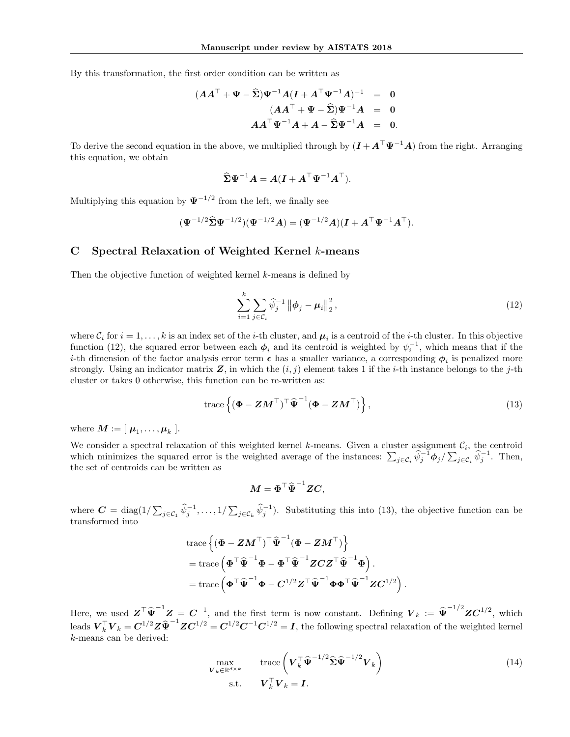By this transformation, the first order condition can be written as

$$
(AAT + \Psi - \widehat{\Sigma})\Psi^{-1}A(I + AT\Psi^{-1}A)^{-1} = 0
$$
  

$$
(AAT + \Psi - \widehat{\Sigma})\Psi^{-1}A = 0
$$
  

$$
AAT\Psi^{-1}A + A - \widehat{\Sigma}\Psi^{-1}A = 0.
$$

To derive the second equation in the above, we multiplied through by  $(I + A^{\top} \Psi^{-1} A)$  from the right. Arranging this equation, we obtain

$$
\widehat{\boldsymbol{\Sigma}}\boldsymbol{\Psi}^{-1}\boldsymbol{A} = \boldsymbol{A}(\boldsymbol{I} + \boldsymbol{A}^{\top}\boldsymbol{\Psi}^{-1}\boldsymbol{A}^{\top}).
$$

Multiplying this equation by  $\Psi^{-1/2}$  from the left, we finally see

$$
(\Psi^{-1/2} \widehat{\Sigma} \Psi^{-1/2}) (\Psi^{-1/2} A) = (\Psi^{-1/2} A)(I + A^{\top} \Psi^{-1} A^{\top}).
$$

# C Spectral Relaxation of Weighted Kernel k-means

Then the objective function of weighted kernel k-means is defined by

$$
\sum_{i=1}^{k} \sum_{j \in \mathcal{C}_i} \widehat{\psi}_j^{-1} \left\| \phi_j - \mu_i \right\|_2^2, \tag{12}
$$

where  $C_i$  for  $i = 1, ..., k$  is an index set of the *i*-th cluster, and  $\mu_i$  is a centroid of the *i*-th cluster. In this objective function (12), the squared error between each  $\phi_i$  and its centroid is weighted by  $\psi_i^{-1}$ , which means that if the *i*-th dimension of the factor analysis error term  $\epsilon$  has a smaller variance, a corresponding  $\phi_i$  is penalized more strongly. Using an indicator matrix  $Z$ , in which the  $(i, j)$  element takes 1 if the *i*-th instance belongs to the *j*-th cluster or takes 0 otherwise, this function can be re-written as:

$$
\text{trace}\left\{(\boldsymbol{\Phi} - \boldsymbol{Z}\boldsymbol{M}^{\top})^{\top}\widehat{\boldsymbol{\Psi}}^{-1}(\boldsymbol{\Phi} - \boldsymbol{Z}\boldsymbol{M}^{\top})\right\},\tag{13}
$$

where  $\boldsymbol{M} := [ \ \boldsymbol{\mu}_1, \dots, \boldsymbol{\mu}_k \ ]$ .

We consider a spectral relaxation of this weighted kernel k-means. Given a cluster assignment  $\mathcal{C}_i$ , the centroid which minimizes the squared error is the weighted average of the instances:  $\sum_{j \in \mathcal{C}_i} \widehat{\psi}_j^{-1} \phi_j / \sum_{j \in \mathcal{C}_i} \widehat{\psi}_j^{-1}$ . Then, the set of centroids can be written as

$$
M = \boldsymbol{\Phi}^\top \widehat{\boldsymbol{\Psi}}^{-1} Z C,
$$

where  $\mathbf{C} = \text{diag}(1/\sum_{j\in\mathcal{C}_1} \hat{\psi}_j^{-1}, \dots, 1/\sum_{j\in\mathcal{C}_k} \hat{\psi}_j^{-1})$ . Substituting this into (13), the objective function can be transformed into

$$
\begin{aligned} &\text{trace}\left\{(\boldsymbol{\Phi} - \boldsymbol{Z}\boldsymbol{M}^{\top})^{\top}\boldsymbol{\hat{\Psi}}^{-1}(\boldsymbol{\Phi} - \boldsymbol{Z}\boldsymbol{M}^{\top})\right\} \\ &= \text{trace}\left(\boldsymbol{\Phi}^{\top}\boldsymbol{\hat{\Psi}}^{-1}\boldsymbol{\Phi} - \boldsymbol{\Phi}^{\top}\boldsymbol{\hat{\Psi}}^{-1}\boldsymbol{Z}\boldsymbol{C}\boldsymbol{Z}^{\top}\boldsymbol{\hat{\Psi}}^{-1}\boldsymbol{\Phi}\right). \\ &= \text{trace}\left(\boldsymbol{\Phi}^{\top}\boldsymbol{\hat{\Psi}}^{-1}\boldsymbol{\Phi} - \boldsymbol{C}^{1/2}\boldsymbol{Z}^{\top}\boldsymbol{\hat{\Psi}}^{-1}\boldsymbol{\Phi}\boldsymbol{\Phi}^{\top}\boldsymbol{\hat{\Psi}}^{-1}\boldsymbol{Z}\boldsymbol{C}^{1/2}\right) \end{aligned}
$$

Here, we used  $Z^{\top} \hat{\Psi}^{-1} Z = C^{-1}$ , and the first term is now constant. Defining  $V_k := \hat{\Psi}^{-1/2} Z C^{1/2}$ , which leads  $\boldsymbol{V}_k^\top \boldsymbol{V}_k = \boldsymbol{C}^{1/2} \boldsymbol{Z} \widehat{\boldsymbol{\Psi}}^{-1} \boldsymbol{Z} \boldsymbol{C}^{1/2} = \boldsymbol{C}^{1/2} \boldsymbol{C}^{-1} \boldsymbol{C}^{1/2} = \boldsymbol{I}$ , the following spectral relaxation of the weighted kernel k-means can be derived:

$$
\max_{\mathbf{V}_k \in \mathbb{R}^{d \times k}} \qquad \text{trace}\left(\mathbf{V}_k^\top \widehat{\mathbf{\Psi}}^{-1/2} \widehat{\boldsymbol{\Sigma}} \widehat{\mathbf{\Psi}}^{-1/2} \mathbf{V}_k\right) \tag{14}
$$
\n
$$
\text{s.t.} \qquad \mathbf{V}_k^\top \mathbf{V}_k = \mathbf{I}.
$$

.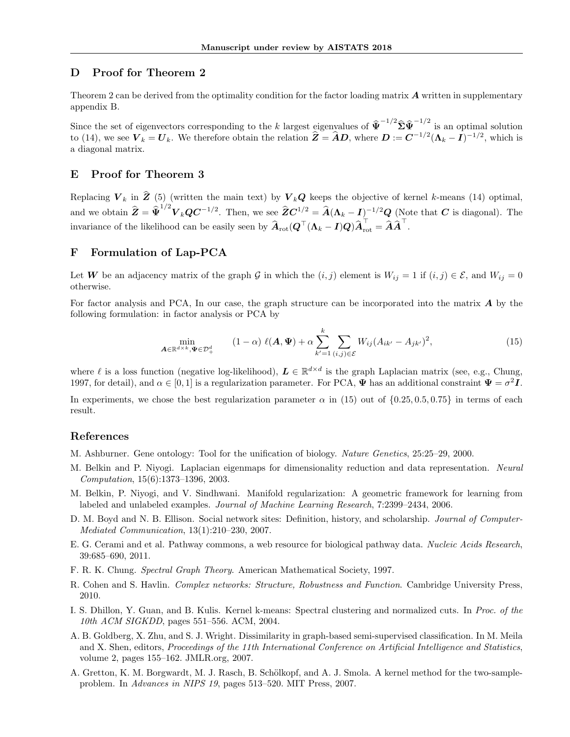# D Proof for Theorem 2

Theorem 2 can be derived from the optimality condition for the factor loading matrix  $\bm{A}$  written in supplementary appendix B.

Since the set of eigenvectors corresponding to the k largest eigenvalues of  $\hat{\Psi}^{-1/2} \hat{\Sigma} \hat{\Psi}^{-1/2}$  is an optimal solution to (14), we see  $V_k = U_k$ . We therefore obtain the relation  $\hat{Z} = \hat{A}D$ , where  $D := C^{-1/2}(\Lambda_k - I)^{-1/2}$ , which is a diagonal matrix.

### E Proof for Theorem 3

Replacing  $V_k$  in  $\hat{Z}$  (5) (written the main text) by  $V_kQ$  keeps the objective of kernel k-means (14) optimal, and we obtain  $\hat{\pmb{Z}} = \hat{\pmb{\Psi}}^{1/2} \pmb{V}_k \pmb{Q} \pmb{C}^{-1/2}$ . Then, we see  $\hat{\pmb{Z}} \pmb{C}^{1/2} = \hat{\pmb{A}} (\pmb{\Lambda}_k - \pmb{I})^{-1/2} \pmb{Q}$  (Note that  $\pmb{C}$  is diagonal). The invariance of the likelihood can be easily seen by  $\widehat{A}_{\text{rot}}(Q^{\top}(\Lambda_k - I)Q)\widehat{A}_{\text{rot}}^{\top} = \widehat{A}\widehat{A}^{\top}.$ 

### F Formulation of Lap-PCA

Let W be an adjacency matrix of the graph G in which the  $(i, j)$  element is  $W_{ij} = 1$  if  $(i, j) \in \mathcal{E}$ , and  $W_{ij} = 0$ otherwise.

For factor analysis and PCA, In our case, the graph structure can be incorporated into the matrix  $\bm{A}$  by the following formulation: in factor analysis or PCA by

$$
\min_{\mathbf{A}\in\mathbb{R}^{d\times k},\mathbf{\Psi}\in\mathcal{D}_{+}^{d}}\qquad(1-\alpha)\;\ell(\mathbf{A},\mathbf{\Psi})+\alpha\sum_{k'=1}^{k}\sum_{(i,j)\in\mathcal{E}}W_{ij}(A_{ik'}-A_{jk'})^{2},\tag{15}
$$

where  $\ell$  is a loss function (negative log-likelihood),  $\mathbf{L} \in \mathbb{R}^{d \times d}$  is the graph Laplacian matrix (see, e.g., Chung, 1997, for detail), and  $\alpha \in [0,1]$  is a regularization parameter. For PCA,  $\Psi$  has an additional constraint  $\Psi = \sigma^2 I$ .

In experiments, we chose the best regularization parameter  $\alpha$  in (15) out of  $\{0.25, 0.5, 0.75\}$  in terms of each result.

#### References

- M. Ashburner. Gene ontology: Tool for the unification of biology. Nature Genetics, 25:25–29, 2000.
- M. Belkin and P. Niyogi. Laplacian eigenmaps for dimensionality reduction and data representation. Neural Computation, 15(6):1373–1396, 2003.
- M. Belkin, P. Niyogi, and V. Sindhwani. Manifold regularization: A geometric framework for learning from labeled and unlabeled examples. Journal of Machine Learning Research, 7:2399–2434, 2006.
- D. M. Boyd and N. B. Ellison. Social network sites: Definition, history, and scholarship. Journal of Computer-Mediated Communication, 13(1):210–230, 2007.
- E. G. Cerami and et al. Pathway commons, a web resource for biological pathway data. Nucleic Acids Research, 39:685–690, 2011.
- F. R. K. Chung. Spectral Graph Theory. American Mathematical Society, 1997.
- R. Cohen and S. Havlin. Complex networks: Structure, Robustness and Function. Cambridge University Press, 2010.
- I. S. Dhillon, Y. Guan, and B. Kulis. Kernel k-means: Spectral clustering and normalized cuts. In Proc. of the 10th ACM SIGKDD, pages 551–556. ACM, 2004.
- A. B. Goldberg, X. Zhu, and S. J. Wright. Dissimilarity in graph-based semi-supervised classification. In M. Meila and X. Shen, editors, Proceedings of the 11th International Conference on Artificial Intelligence and Statistics, volume 2, pages 155–162. JMLR.org, 2007.
- A. Gretton, K. M. Borgwardt, M. J. Rasch, B. Schölkopf, and A. J. Smola. A kernel method for the two-sampleproblem. In Advances in NIPS 19, pages 513–520. MIT Press, 2007.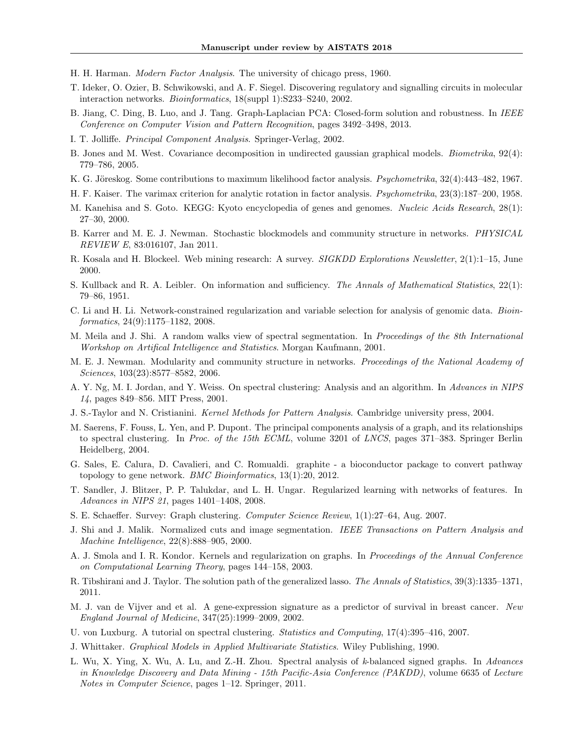- H. H. Harman. Modern Factor Analysis. The university of chicago press, 1960.
- T. Ideker, O. Ozier, B. Schwikowski, and A. F. Siegel. Discovering regulatory and signalling circuits in molecular interaction networks. Bioinformatics, 18(suppl 1):S233–S240, 2002.
- B. Jiang, C. Ding, B. Luo, and J. Tang. Graph-Laplacian PCA: Closed-form solution and robustness. In IEEE Conference on Computer Vision and Pattern Recognition, pages 3492–3498, 2013.
- I. T. Jolliffe. Principal Component Analysis. Springer-Verlag, 2002.
- B. Jones and M. West. Covariance decomposition in undirected gaussian graphical models. Biometrika, 92(4): 779–786, 2005.
- K. G. Jöreskog. Some contributions to maximum likelihood factor analysis. *Psychometrika*, 32(4):443–482, 1967.
- H. F. Kaiser. The varimax criterion for analytic rotation in factor analysis. Psychometrika, 23(3):187–200, 1958.
- M. Kanehisa and S. Goto. KEGG: Kyoto encyclopedia of genes and genomes. Nucleic Acids Research, 28(1): 27–30, 2000.
- B. Karrer and M. E. J. Newman. Stochastic blockmodels and community structure in networks. *PHYSICAL* REVIEW E, 83:016107, Jan 2011.
- R. Kosala and H. Blockeel. Web mining research: A survey. SIGKDD Explorations Newsletter, 2(1):1–15, June 2000.
- S. Kullback and R. A. Leibler. On information and sufficiency. The Annals of Mathematical Statistics, 22(1): 79–86, 1951.
- C. Li and H. Li. Network-constrained regularization and variable selection for analysis of genomic data. Bioinformatics, 24(9):1175–1182, 2008.
- M. Meila and J. Shi. A random walks view of spectral segmentation. In Proceedings of the 8th International Workshop on Artifical Intelligence and Statistics. Morgan Kaufmann, 2001.
- M. E. J. Newman. Modularity and community structure in networks. Proceedings of the National Academy of Sciences, 103(23):8577–8582, 2006.
- A. Y. Ng, M. I. Jordan, and Y. Weiss. On spectral clustering: Analysis and an algorithm. In Advances in NIPS 14, pages 849–856. MIT Press, 2001.
- J. S.-Taylor and N. Cristianini. Kernel Methods for Pattern Analysis. Cambridge university press, 2004.
- M. Saerens, F. Fouss, L. Yen, and P. Dupont. The principal components analysis of a graph, and its relationships to spectral clustering. In Proc. of the 15th ECML, volume 3201 of LNCS, pages 371–383. Springer Berlin Heidelberg, 2004.
- G. Sales, E. Calura, D. Cavalieri, and C. Romualdi. graphite a bioconductor package to convert pathway topology to gene network. *BMC Bioinformatics*, 13(1):20, 2012.
- T. Sandler, J. Blitzer, P. P. Talukdar, and L. H. Ungar. Regularized learning with networks of features. In Advances in NIPS 21, pages 1401–1408, 2008.
- S. E. Schaeffer. Survey: Graph clustering. Computer Science Review, 1(1):27–64, Aug. 2007.
- J. Shi and J. Malik. Normalized cuts and image segmentation. IEEE Transactions on Pattern Analysis and Machine Intelligence, 22(8):888–905, 2000.
- A. J. Smola and I. R. Kondor. Kernels and regularization on graphs. In Proceedings of the Annual Conference on Computational Learning Theory, pages 144–158, 2003.
- R. Tibshirani and J. Taylor. The solution path of the generalized lasso. The Annals of Statistics, 39(3):1335–1371, 2011.
- M. J. van de Vijver and et al. A gene-expression signature as a predictor of survival in breast cancer. New England Journal of Medicine, 347(25):1999–2009, 2002.
- U. von Luxburg. A tutorial on spectral clustering. Statistics and Computing, 17(4):395–416, 2007.
- J. Whittaker. Graphical Models in Applied Multivariate Statistics. Wiley Publishing, 1990.
- L. Wu, X. Ying, X. Wu, A. Lu, and Z.-H. Zhou. Spectral analysis of k-balanced signed graphs. In Advances in Knowledge Discovery and Data Mining - 15th Pacific-Asia Conference (PAKDD), volume 6635 of Lecture Notes in Computer Science, pages 1–12. Springer, 2011.